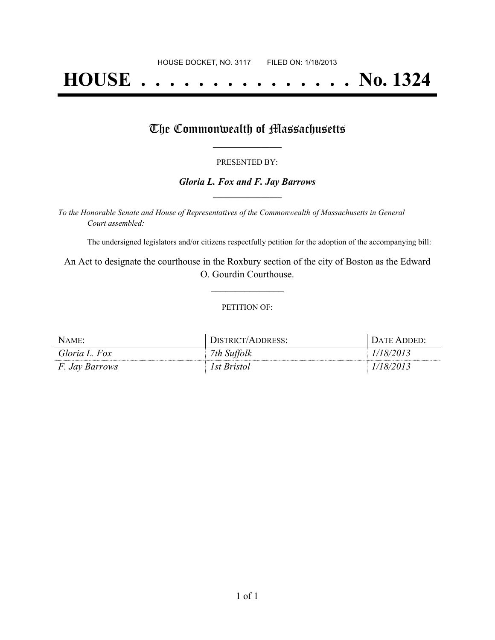# **HOUSE . . . . . . . . . . . . . . . No. 1324**

## The Commonwealth of Massachusetts

#### PRESENTED BY:

#### *Gloria L. Fox and F. Jay Barrows* **\_\_\_\_\_\_\_\_\_\_\_\_\_\_\_\_\_**

*To the Honorable Senate and House of Representatives of the Commonwealth of Massachusetts in General Court assembled:*

The undersigned legislators and/or citizens respectfully petition for the adoption of the accompanying bill:

An Act to designate the courthouse in the Roxbury section of the city of Boston as the Edward O. Gourdin Courthouse.

**\_\_\_\_\_\_\_\_\_\_\_\_\_\_\_**

#### PETITION OF:

| NAME:                 | DISTRICT/ADDRESS: | $D$ ate Added <sup>.</sup> |
|-----------------------|-------------------|----------------------------|
| Gloria L. Fox         | 7th Suffolk       | 48/2013                    |
| <i>F. Jay Barrows</i> | 1st Bristol       | 78/2013                    |